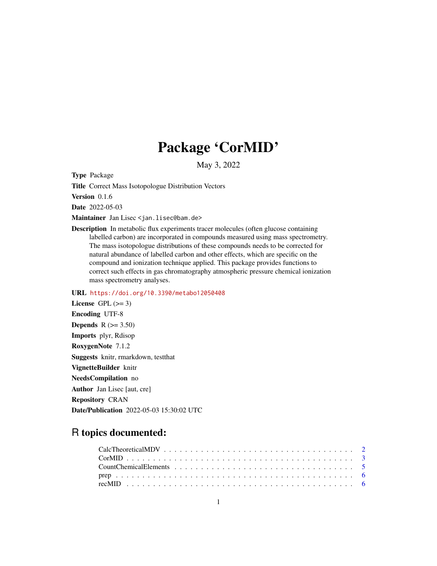# Package 'CorMID'

May 3, 2022

Type Package

Title Correct Mass Isotopologue Distribution Vectors

Version 0.1.6

Date 2022-05-03

Maintainer Jan Lisec <jan.lisec@bam.de>

Description In metabolic flux experiments tracer molecules (often glucose containing labelled carbon) are incorporated in compounds measured using mass spectrometry. The mass isotopologue distributions of these compounds needs to be corrected for natural abundance of labelled carbon and other effects, which are specific on the compound and ionization technique applied. This package provides functions to correct such effects in gas chromatography atmospheric pressure chemical ionization mass spectrometry analyses.

URL <https://doi.org/10.3390/metabo12050408>

License GPL  $(>= 3)$ Encoding UTF-8 Depends  $R (=3.50)$ Imports plyr, Rdisop RoxygenNote 7.1.2 Suggests knitr, rmarkdown, testthat VignetteBuilder knitr NeedsCompilation no Author Jan Lisec [aut, cre] Repository CRAN Date/Publication 2022-05-03 15:30:02 UTC

# R topics documented: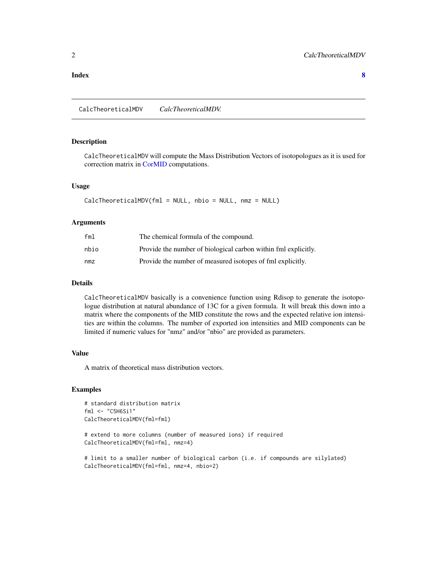#### <span id="page-1-0"></span>**Index** [8](#page-7-0) **8**

CalcTheoreticalMDV *CalcTheoreticalMDV.*

# Description

CalcTheoreticalMDV will compute the Mass Distribution Vectors of isotopologues as it is used for correction matrix in [CorMID](#page-2-1) computations.

#### Usage

```
CalcTheoreticalMDV(fml = NULL, nbio = NULL, nmz = NULL)
```
#### Arguments

| fml  | The chemical formula of the compound.                          |
|------|----------------------------------------------------------------|
| nbio | Provide the number of biological carbon within fml explicitly. |
| nmz  | Provide the number of measured isotopes of fml explicitly.     |

#### Details

CalcTheoreticalMDV basically is a convenience function using Rdisop to generate the isotopologue distribution at natural abundance of 13C for a given formula. It will break this down into a matrix where the components of the MID constitute the rows and the expected relative ion intensities are within the columns. The number of exported ion intensities and MID components can be limited if numeric values for "nmz" and/or "nbio" are provided as parameters.

# Value

A matrix of theoretical mass distribution vectors.

```
# standard distribution matrix
fml <- "C5H6Si1"
CalcTheoreticalMDV(fml=fml)
```

```
# extend to more columns (number of measured ions) if required
CalcTheoreticalMDV(fml=fml, nmz=4)
```

```
# limit to a smaller number of biological carbon (i.e. if compounds are silylated)
CalcTheoreticalMDV(fml=fml, nmz=4, nbio=2)
```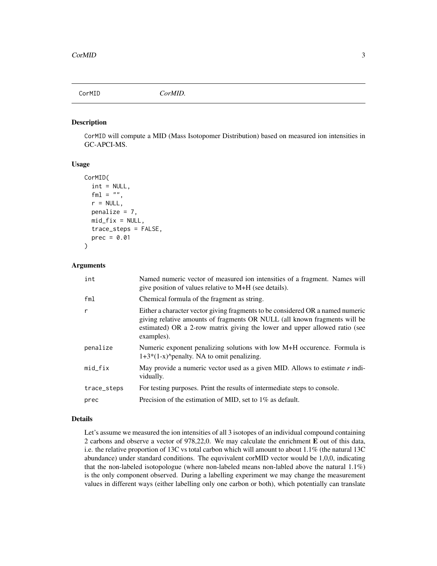<span id="page-2-1"></span><span id="page-2-0"></span>

#### Description

CorMID will compute a MID (Mass Isotopomer Distribution) based on measured ion intensities in GC-APCI-MS.

#### Usage

```
CorMID(
  int = NULL,fm1 = "",r = NULL,penalize = 7,
  mid\_fix = NULL,trace_steps = FALSE,
  prec = 0.01)
```
#### Arguments

| int          | Named numeric vector of measured ion intensities of a fragment. Names will<br>give position of values relative to M+H (see details).                                                                                                                    |
|--------------|---------------------------------------------------------------------------------------------------------------------------------------------------------------------------------------------------------------------------------------------------------|
| fm1          | Chemical formula of the fragment as string.                                                                                                                                                                                                             |
| $\mathsf{r}$ | Either a character vector giving fragments to be considered OR a named numeric<br>giving relative amounts of fragments OR NULL (all known fragments will be<br>estimated) OR a 2-row matrix giving the lower and upper allowed ratio (see<br>examples). |
| penalize     | Numeric exponent penalizing solutions with low M+H occurence. Formula is<br>$1+3*(1-x)$ penalty. NA to omit penalizing.                                                                                                                                 |
| $mid\_fix$   | May provide a numeric vector used as a given MID. Allows to estimate $r$ indi-<br>vidually.                                                                                                                                                             |
| trace_steps  | For testing purposes. Print the results of intermediate steps to console.                                                                                                                                                                               |
| prec         | Precision of the estimation of MID, set to $1\%$ as default.                                                                                                                                                                                            |

#### Details

Let's assume we measured the ion intensities of all 3 isotopes of an individual compound containing 2 carbons and observe a vector of 978,22,0. We may calculate the enrichment E out of this data, i.e. the relative proportion of 13C vs total carbon which will amount to about 1.1% (the natural 13C abundance) under standard conditions. The equvivalent corMID vector would be 1,0,0, indicating that the non-labeled isotopologue (where non-labeled means non-labled above the natural 1.1%) is the only component observed. During a labelling experiment we may change the measurement values in different ways (either labelling only one carbon or both), which potentially can translate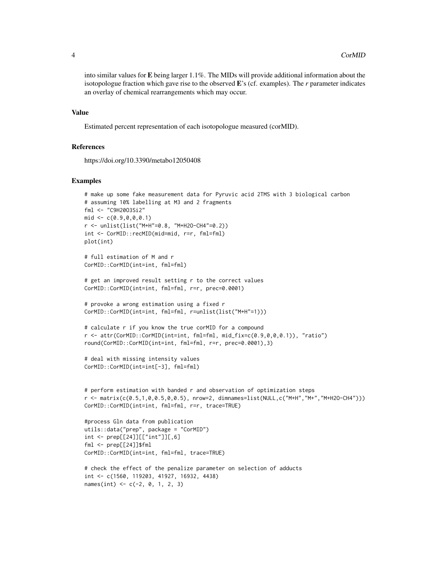into similar values for E being larger 1.1%. The MIDs will provide additional information about the isotopologue fraction which gave rise to the observed E's (cf. examples). The *r* parameter indicates an overlay of chemical rearrangements which may occur.

#### Value

Estimated percent representation of each isotopologue measured (corMID).

#### References

https://doi.org/10.3390/metabo12050408

```
# make up some fake measurement data for Pyruvic acid 2TMS with 3 biological carbon
# assuming 10% labelling at M3 and 2 fragments
fml <- "C9H20O3Si2"
mid < -c(0.9, 0, 0, 0.1)r <- unlist(list("M+H"=0.8, "M+H2O-CH4"=0.2))
int <- CorMID::recMID(mid=mid, r=r, fml=fml)
plot(int)
# full estimation of M and r
CorMID::CorMID(int=int, fml=fml)
# get an improved result setting r to the correct values
CorMID::CorMID(int=int, fml=fml, r=r, prec=0.0001)
# provoke a wrong estimation using a fixed r
CorMID::CorMID(int=int, fml=fml, r=unlist(list("M+H"=1)))
# calculate r if you know the true corMID for a compound
r <- attr(CorMID::CorMID(int=int, fml=fml, mid_fix=c(0.9,0,0,0.1)), "ratio")
round(CorMID::CorMID(int=int, fml=fml, r=r, prec=0.0001),3)
# deal with missing intensity values
CorMID::CorMID(int=int[-3], fml=fml)
# perform estimation with banded r and observation of optimization steps
r <- matrix(c(0.5,1,0,0.5,0,0.5), nrow=2, dimnames=list(NULL,c("M+H","M+","M+H2O-CH4")))
CorMID::CorMID(int=int, fml=fml, r=r, trace=TRUE)
#process Gln data from publication
utils::data("prep", package = "CorMID")
int <- prep[[24]][["int"]][,6]
fml <- prep[[24]]$fml
CorMID::CorMID(int=int, fml=fml, trace=TRUE)
# check the effect of the penalize parameter on selection of adducts
int <- c(1560, 119203, 41927, 16932, 4438)
names(int) <- c(-2, 0, 1, 2, 3)
```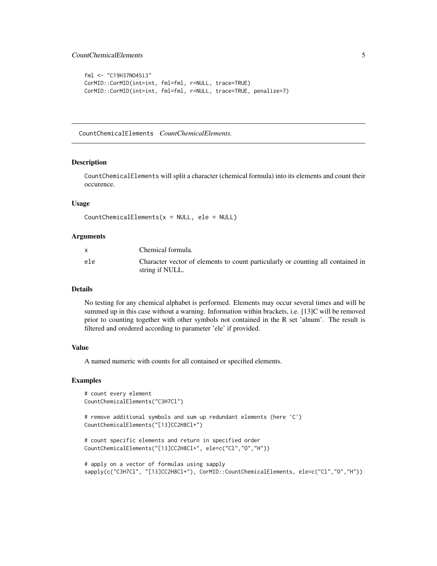# <span id="page-4-0"></span>CountChemicalElements 5

```
fml <- "C19H37NO4Si3"
CorMID::CorMID(int=int, fml=fml, r=NULL, trace=TRUE)
CorMID::CorMID(int=int, fml=fml, r=NULL, trace=TRUE, penalize=7)
```
CountChemicalElements *CountChemicalElements.*

#### **Description**

CountChemicalElements will split a character (chemical formula) into its elements and count their occurence.

#### Usage

```
CountChemicalElements(x = NULL, ele = NULL)
```
#### Arguments

|     | Chemical formula.                                                                                  |
|-----|----------------------------------------------------------------------------------------------------|
| ele | Character vector of elements to count particularly or counting all contained in<br>string if NULL. |

## **Details**

No testing for any chemical alphabet is performed. Elements may occur several times and will be summed up in this case without a warning. Information within brackets, i.e. [13]C will be removed prior to counting together with other symbols not contained in the R set 'alnum'. The result is filtered and oredered according to parameter 'ele' if provided.

# Value

A named numeric with counts for all contained or specified elements.

```
# count every element
CountChemicalElements("C3H7Cl")
# remove additional symbols and sum up redundant elements (here 'C')
CountChemicalElements("[13]CC2H8Cl+")
# count specific elements and return in specified order
CountChemicalElements("[13]CC2H8Cl+", ele=c("Cl","O","H"))
# apply on a vector of formulas using sapply
sapply(c("C3H7Cl", "[13]CC2H8Cl+"), CorMID::CountChemicalElements, ele=c("Cl","O","H"))
```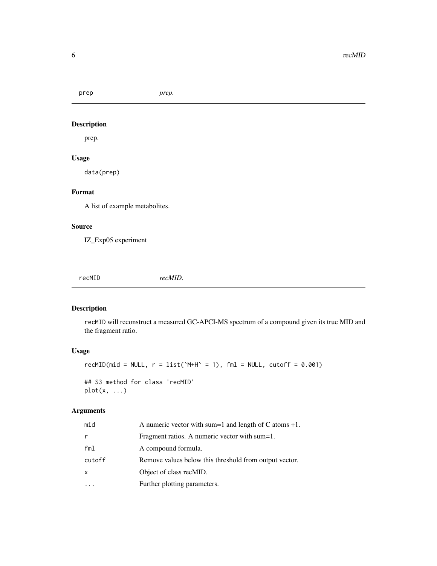<span id="page-5-0"></span>prep *prep.*

# Description

prep.

# Usage

data(prep)

# Format

A list of example metabolites.

# Source

IZ\_Exp05 experiment

recMID *recMID.*

# Description

recMID will reconstruct a measured GC-APCI-MS spectrum of a compound given its true MID and the fragment ratio.

# Usage

```
recMD(mid = NULL, r = list('M+H' = 1), fml = NULL, cutoff = 0.001)## S3 method for class 'recMID'
plot(x, ...)
```
# Arguments

| mid    | A numeric vector with sum=1 and length of C atoms $+1$ . |
|--------|----------------------------------------------------------|
| r      | Fragment ratios. A numeric vector with sum=1.            |
| fml    | A compound formula.                                      |
| cutoff | Remove values below this threshold from output vector.   |
| x      | Object of class recMID.                                  |
|        | Further plotting parameters.                             |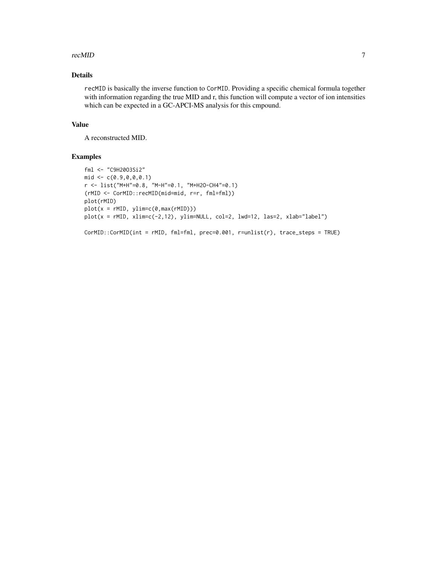#### recMID 7

# Details

recMID is basically the inverse function to CorMID. Providing a specific chemical formula together with information regarding the true MID and r, this function will compute a vector of ion intensities which can be expected in a GC-APCI-MS analysis for this cmpound.

#### Value

A reconstructed MID.

```
fml <- "C9H20O3Si2"
mid < -c(0.9, 0, 0, 0.1)r <- list("M+H"=0.8, "M-H"=0.1, "M+H2O-CH4"=0.1)
(rMID <- CorMID::recMID(mid=mid, r=r, fml=fml))
plot(rMID)
plot(x = rMID, ylim=c(0, max(rMID)))plot(x = rMID, xlim=c(-2,12), ylim=NULL, col=2, lwd=12, las=2, xlab="label")
CorMID::CorMID(int = rMID, fml=fml, prec=0.001, r=unlist(r), trace_steps = TRUE)
```